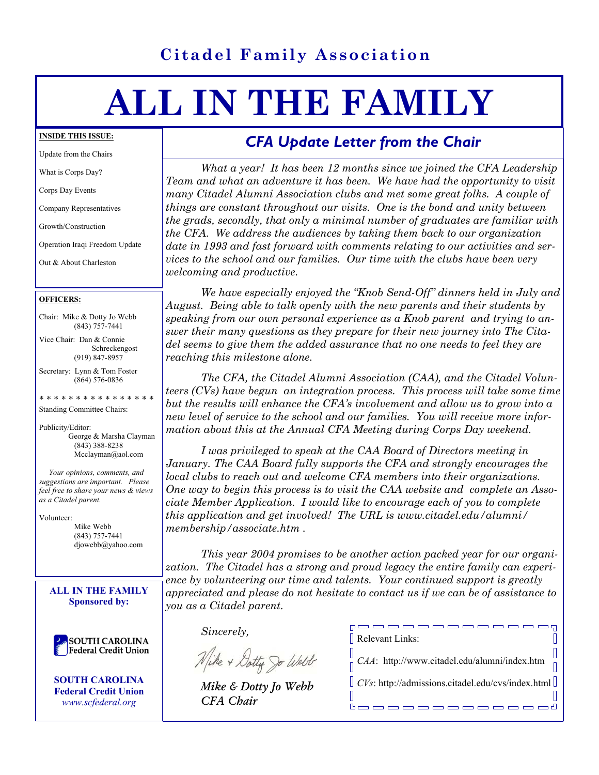# **Citadel Family Association**

# **ALL IN THE FAMILY**

#### **INSIDE THIS ISSUE:**

Update from the Chairs

What is Corps Day?

Corps Day Events

Company Representatives

Growth/Construction

Operation Iraqi Freedom Update

Out & About Charleston

#### **OFFICERS:**

Chair: Mike & Dotty Jo Webb (843) 757-7441

Vice Chair: Dan & Connie Schreckengost (919) 847-8957

Secretary: Lynn & Tom Foster (864) 576-0836

\* \* \* \* \* \* \* \* \* \* \* \* \* \* \* \*

Standing Committee Chairs:

Publicity/Editor: George & Marsha Clayman (843) 388-8238 Mcclayman@aol.com

 *Your opinions, comments, and suggestions are important. Please feel free to share your news & views as a Citadel parent.* 

Volunteer: Mike Webb (843) 757-7441 djowebb@yahoo.com

**ALL IN THE FAMILY Sponsored by:** 

**SOUTH CAROLINA** Federal Credit Union

**SOUTH CAROLINA Federal Credit Union**  *www.scfederal.org* 

# *CFA Update Letter from the Chair*

 *What a year! It has been 12 months since we joined the CFA Leadership Team and what an adventure it has been. We have had the opportunity to visit many Citadel Alumni Association clubs and met some great folks. A couple of things are constant throughout our visits. One is the bond and unity between the grads, secondly, that only a minimal number of graduates are familiar with the CFA. We address the audiences by taking them back to our organization date in 1993 and fast forward with comments relating to our activities and services to the school and our families. Our time with the clubs have been very welcoming and productive.* 

 *We have especially enjoyed the "Knob Send-Off" dinners held in July and August. Being able to talk openly with the new parents and their students by speaking from our own personal experience as a Knob parent and trying to answer their many questions as they prepare for their new journey into The Citadel seems to give them the added assurance that no one needs to feel they are reaching this milestone alone.* 

 *The CFA, the Citadel Alumni Association (CAA), and the Citadel Volunteers (CVs) have begun an integration process. This process will take some time but the results will enhance the CFA's involvement and allow us to grow into a new level of service to the school and our families. You will receive more information about this at the Annual CFA Meeting during Corps Day weekend.* 

 *I was privileged to speak at the CAA Board of Directors meeting in January. The CAA Board fully supports the CFA and strongly encourages the local clubs to reach out and welcome CFA members into their organizations. One way to begin this process is to visit the CAA website and complete an Associate Member Application. I would like to encourage each of you to complete this application and get involved! The URL is www.citadel.edu/alumni/ membership/associate.htm .*

 *This year 2004 promises to be another action packed year for our organization. The Citadel has a strong and proud legacy the entire family can experience by volunteering our time and talents. Your continued support is greatly appreciated and please do not hesitate to contact us if we can be of assistance to you as a Citadel parent.* 

Л

 *Sincerely,* 

Wike + Dotty go West

 *Mike & Dotty Jo Webb CFA Chair*

poooooooooooooq Relevant Links:  $\Box$  $\mathbb{R}$ *CAA*: http://www.citadel.edu/alumni/index.htm

*CVs*: http://admissions.citadel.edu/cvs/index.html

<u>booooooooooood</u>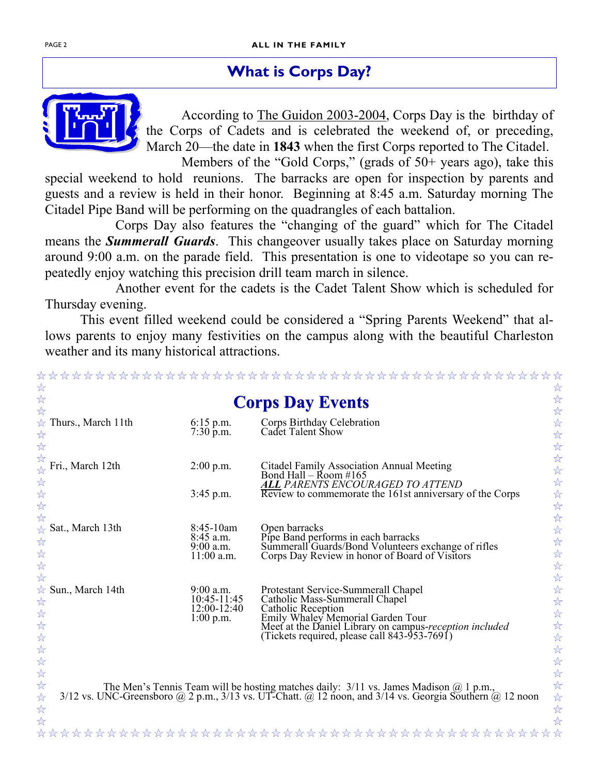# **What is Corps Day?**



 According to The Guidon 2003-2004, Corps Day is the birthday of the Corps of Cadets and is celebrated the weekend of, or preceding, March 20—the date in **1843** when the first Corps reported to The Citadel.

Members of the "Gold Corps," (grads of 50+ years ago), take this special weekend to hold reunions. The barracks are open for inspection by parents and guests and a review is held in their honor. Beginning at 8:45 a.m. Saturday morning The Citadel Pipe Band will be performing on the quadrangles of each battalion.

 Corps Day also features the "changing of the guard" which for The Citadel means the *Summerall Guards*. This changeover usually takes place on Saturday morning around 9:00 a.m. on the parade field. This presentation is one to videotape so you can repeatedly enjoy watching this precision drill team march in silence.

 Another event for the cadets is the Cadet Talent Show which is scheduled for Thursday evening.

 This event filled weekend could be considered a "Spring Parents Weekend" that allows parents to enjoy many festivities on the campus along with the beautiful Charleston weather and its many historical attractions.

|                                                          |                                                          | <b>Corps Day Events</b>                                                                                                                                                                                                                     |
|----------------------------------------------------------|----------------------------------------------------------|---------------------------------------------------------------------------------------------------------------------------------------------------------------------------------------------------------------------------------------------|
| $\forall$ Thurs., March 11th                             | $6:15$ p.m.<br>$7:30 \,\mathrm{\hat{p}}\text{.}m$ .      | Corps Birthday Celebration<br>Cadet Talent Show                                                                                                                                                                                             |
| Fri., March 12th                                         | $2:00$ p.m.                                              | Citadel Family Association Annual Meeting<br>Bond Hall – Room #165                                                                                                                                                                          |
| *****                                                    | $3:45$ p.m.                                              | <b>ALL PARENTS ENCOURAGED TO ATTEND<br/>Review to commemorate the 161st anniversary of the Corps</b>                                                                                                                                        |
| Sat., March 13th<br>$\frac{1}{2}$<br>计分分分                | 8:45-10am<br>$8:45$ a.m.<br>$9:00$ a.m.<br>$11:00$ a.m.  | Open barracks<br>Pipe Band performs in each barracks<br>Summerall Guards/Bond Volunteers exchange of rifles<br>Corps Day Review in honor of Board of Visitors                                                                               |
| $\frac{1}{\sqrt{2}}$<br>Sun., March 14th<br>******       | $9:00$ a.m.<br>10:45-11:45<br>12:00-12:40<br>$1:00$ p.m. | Protestant Service-Summerall Chapel<br>Catholic Mass-Summerall Chapel<br>Catholic Reception<br>Emily Whaley Memorial Garden Tour<br>Meet at the Daniel Library on campus-reception included<br>(Tickets required, please call 843-953-7691) |
| $x^2$<br>$\frac{1}{2}$<br>$\overleftrightarrow{\lambda}$ |                                                          | The Men's Tennis Team will be hosting matches daily: 3/11 vs. James Madison @ 1 p.m.,<br>3/12 vs. UNC-Greensboro @ 2 p.m., 3/13 vs. UT-Chatt. @ 12 noon, and 3/14 vs. Georgia Southern @ 12 noon                                            |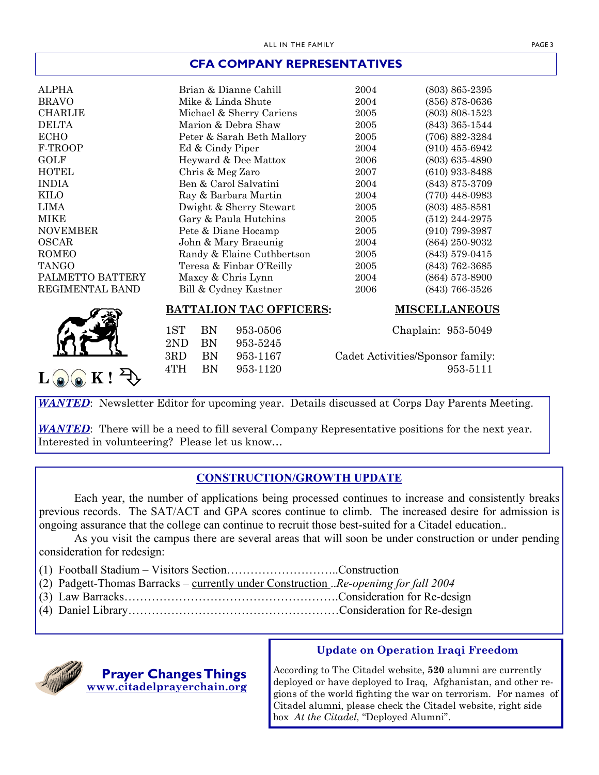#### **CFA COMPANY REPRESENTATIVES**

| <b>ALPHA</b>     | Brian & Dianne Cahill          | 2004                             | $(803)$ 865-2395   |
|------------------|--------------------------------|----------------------------------|--------------------|
| <b>BRAVO</b>     | Mike & Linda Shute             | 2004                             | $(856)$ 878-0636   |
| <b>CHARLIE</b>   | Michael & Sherry Cariens       | 2005                             | $(803)$ 808-1523   |
| <b>DELTA</b>     | Marion & Debra Shaw            | 2005                             | $(843)$ 365-1544   |
| <b>ECHO</b>      | Peter & Sarah Beth Mallory     | 2005                             | (706) 882-3284     |
| F-TROOP          | Ed & Cindy Piper               | 2004                             | $(910)$ 455-6942   |
| GOLF             | Heyward & Dee Mattox           | 2006                             | $(803) 635 - 4890$ |
| <b>HOTEL</b>     | Chris & Meg Zaro               | 2007                             | $(610)$ 933-8488   |
| <b>INDIA</b>     | Ben & Carol Salvatini          | 2004                             | (843) 875-3709     |
| <b>KILO</b>      | Ray & Barbara Martin           | 2004                             | $(770)$ 448-0983   |
| LIMA             | Dwight & Sherry Stewart        | 2005                             | $(803)$ 485-8581   |
| MIKE             | Gary & Paula Hutchins          | 2005                             | $(512)$ 244-2975   |
| <b>NOVEMBER</b>  | Pete & Diane Hocamp            | 2005                             | $(910)$ 799-3987   |
| <b>OSCAR</b>     | John & Mary Braeunig           | 2004                             | $(864)$ 250-9032   |
| ROMEO            | Randy & Elaine Cuthbertson     | 2005                             | $(843)$ 579-0415   |
| <b>TANGO</b>     | Teresa & Finbar O'Reilly       | 2005                             | $(843)$ 762-3685   |
| PALMETTO BATTERY | Maxcy & Chris Lynn             | 2004                             | $(864)$ 573-8900   |
| REGIMENTAL BAND  | Bill & Cydney Kastner          | 2006                             | $(843)$ 766-3526   |
|                  | <b>BATTALION TAC OFFICERS:</b> | <b>MISCELLANEOUS</b>             |                    |
|                  | 1ST<br>BN<br>953-0506          |                                  | Chaplain: 953-5049 |
|                  | 2ND<br>BN<br>953-5245          |                                  |                    |
|                  | 3RD<br><b>BN</b><br>953-1167   | Cadet Activities/Sponsor family: |                    |
|                  | 4TH<br><b>BN</b><br>953-1120   |                                  | 953-5111           |
|                  |                                |                                  |                    |

*WANTED*: Newsletter Editor for upcoming year. Details discussed at Corps Day Parents Meeting.

*WANTED*: There will be a need to fill several Company Representative positions for the next year. Interested in volunteering? Please let us know…

### **CONSTRUCTION/GROWTH UPDATE**

 Each year, the number of applications being processed continues to increase and consistently breaks previous records. The SAT/ACT and GPA scores continue to climb. The increased desire for admission is ongoing assurance that the college can continue to recruit those best-suited for a Citadel education..

 As you visit the campus there are several areas that will soon be under construction or under pending consideration for redesign:

- (1) Football Stadium Visitors Section………………………..Construction
- (2) Padgett-Thomas Barracks currently under Construction ..*Re-openimg for fall 2004*
- (3) Law Barracks……………………………………………….Consideration for Re-design
- (4) Daniel Library………………………………………………Consideration for Re-design



### **Update on Operation Iraqi Freedom**

According to The Citadel website, **520** alumni are currently deployed or have deployed to Iraq, Afghanistan, and other regions of the world fighting the war on terrorism. For names of Citadel alumni, please check the Citadel website, right side box *At the Citadel,* "Deployed Alumni".